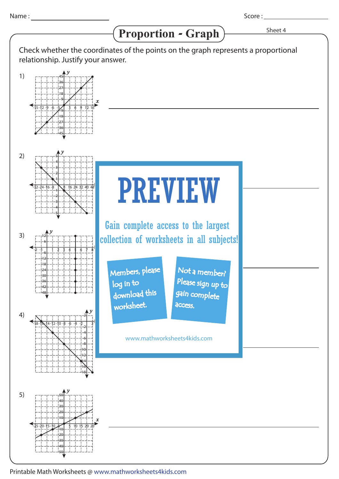*x y* -15 -3-6-9-12 3 6 9 12 45 36 27 18 9  $\frac{2}{9}$ -18 -27 -36 -45 *y* -1-2 1 2 3 4 5 6 7 8 -18 12 6 -6 -12 -24 -30 -36 -42 -48 *y*  $-32-24-16-8$   $8$   $16$   $24$   $32$   $40$   $48$ 5 4 3 2 1 -1 -2 -3 -4 -5 *y* -18-16-14-12-10 -8 -6 -4 -2 2 2 -2 -4 -6 -8 |10 +12 -14 -16 -18 *y* 50 40 30 20 15 1) 2) 3) 4) 5) Proportion - Graph  $\overline{\phantom{a}}$ <sup>Sheet 4</sup> Check whether the coordinates of the points on the graph represents a proportional relationship. Justify your answer. PREVIEW www.mathworksheets4kids.com Members, please download this worksheet. log in to Not a member? gain complete Please sign up to access. Gain complete access to the largest collection of worksheets in all subjects!

*x*

 $\overline{10}$ 

-10 -20 -30 -40 -50

 $-25-20-15-10$   $-5$  10 15 20 25